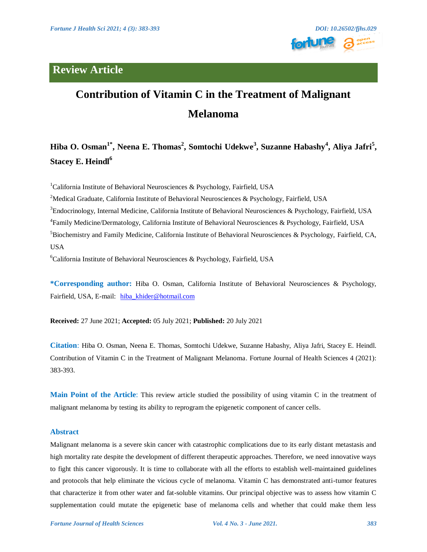# **Review Article**



# **Contribution of Vitamin C in the Treatment of Malignant Melanoma**

# **Hiba O. Osman1\* , Neena E. Thomas<sup>2</sup> , Somtochi Udekwe<sup>3</sup> , Suzanne Habashy<sup>4</sup> , Aliya Jafri<sup>5</sup> , Stacey E. Heindl<sup>6</sup>**

<sup>1</sup>California Institute of Behavioral Neurosciences & Psychology, Fairfield, USA

<sup>2</sup>Medical Graduate, California Institute of Behavioral Neurosciences & Psychology, Fairfield, USA

 ${}^{3}$ Endocrinology, Internal Medicine, California Institute of Behavioral Neurosciences & Psychology, Fairfield, USA

4 Family Medicine/Dermatology, California Institute of Behavioral Neurosciences & Psychology, Fairfield, USA

 $5B$ iochemistry and Family Medicine, California Institute of Behavioral Neurosciences & Psychology, Fairfield, CA, **USA** 

 ${}^{6}$ California Institute of Behavioral Neurosciences & Psychology, Fairfield, USA

**\*Corresponding author:** Hiba O. Osman, California Institute of Behavioral Neurosciences & Psychology, Fairfield, USA, E-mail: [hiba\\_khider@hotmail.com](mailto:hiba_khider@hotmail.com)

**Received:** 27 June 2021; **Accepted:** 05 July 2021; **Published:** 20 July 2021

**Citation**: Hiba O. Osman, Neena E. Thomas, Somtochi Udekwe, Suzanne Habashy, Aliya Jafri, Stacey E. Heindl. Contribution of Vitamin C in the Treatment of Malignant Melanoma. Fortune Journal of Health Sciences 4 (2021): 383-393.

**Main Point of the Article**: This review article studied the possibility of using vitamin C in the treatment of malignant melanoma by testing its ability to reprogram the epigenetic component of cancer cells.

# **Abstract**

Malignant melanoma is a severe skin cancer with catastrophic complications due to its early distant metastasis and high mortality rate despite the development of different therapeutic approaches. Therefore, we need innovative ways to fight this cancer vigorously. It is time to collaborate with all the efforts to establish well-maintained guidelines and protocols that help eliminate the vicious cycle of melanoma. Vitamin C has demonstrated anti-tumor features that characterize it from other water and fat-soluble vitamins. Our principal objective was to assess how vitamin C supplementation could mutate the epigenetic base of melanoma cells and whether that could make them less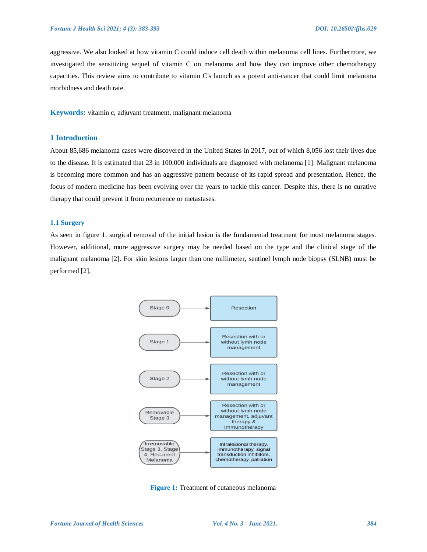aggressive. We also looked at how vitamin C could induce cell death within melanoma cell lines. Furthermore, we investigated the sensitizing sequel of vitamin C on melanoma and how they can improve other chemotherapy capacities. This review aims to contribute to vitamin C's launch as a potent anti-cancer that could limit melanoma morbidness and death rate.

**Keywords:** vitamin c, adjuvant treatment, malignant melanoma

# **1 Introduction**

About 85,686 melanoma cases were discovered in the United States in 2017, out of which 8,056 lost their lives due to the disease. It is estimated that 23 in 100,000 individuals are diagnosed with melanoma [1]. Malignant melanoma is becoming more common and has an aggressive pattern because of its rapid spread and presentation. Hence, the focus of modern medicine has been evolving over the years to tackle this cancer. Despite this, there is no curative therapy that could prevent it from recurrence or metastases.

### **1.1 Surgery**

As seen in figure 1, surgical removal of the initial lesion is the fundamental treatment for most melanoma stages. However, additional, more aggressive surgery may be needed based on the type and the clinical stage of the malignant melanoma [2]. For skin lesions larger than one millimeter, sentinel lymph node biopsy (SLNB) must be performed [2].



**Figure 1:** Treatment of cutaneous melanoma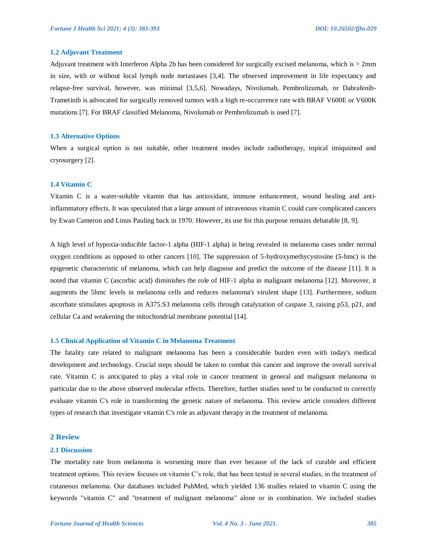### **1.2 Adjuvant Treatment**

Adjuvant treatment with Interferon Alpha 2b has been considered for surgically excised melanoma, which is > 2mm in size, with or without local lymph node metastases [3,4]. The observed improvement in life expectancy and relapse-free survival, however, was minimal [3,5,6]. Nowadays, Nivolumab, Pembrolizumab, or Dabrafenib-Trametinib is advocated for surgically removed tumors with a high re-occurrence rate with BRAF V600E or V600K mutations [7]. For BRAF classified Melanoma, Nivolumab or Pembrolizumab is used [7].

#### **1.3 Alternative Options**

When a surgical option is not suitable, other treatment modes include radiotherapy, topical imiquimod and cryosurgery [2].

# **1.4 Vitamin C**

Vitamin C is a water-soluble vitamin that has antioxidant, immune enhancement, wound healing and antiinflammatory effects. It was speculated that a large amount of intravenous vitamin C could cure complicated cancers by Ewan Cameron and Linus Pauling back in 1970. However, its use for this purpose remains debatable [8, 9].

A high level of hypoxia-inducible factor-1 alpha (HIF-1 alpha) is being revealed in melanoma cases under normal oxygen conditions as opposed to other cancers [10]. The suppression of 5-hydroxymethycystosine (5-hmc) is the epigenetic characteristic of melanoma, which can help diagnose and predict the outcome of the disease [11]. It is noted that vitamin C (ascorbic acid) diminishes the role of HIF-1 alpha in malignant melanoma [12]. Moreover, it augments the 5hmc levels in melanoma cells and reduces melanoma's virulent shape [13]. Furthermore, sodium ascorbate stimulates apoptosis in A375.S3 melanoma cells through catalyzation of caspase 3, raising p53, p21, and cellular Ca and weakening the mitochondrial membrane potential [14].

# **1.5 Clinical Application of Vitamin C in Melanoma Treatment**

The fatality rate related to malignant melanoma has been a considerable burden even with today's medical development and technology. Crucial steps should be taken to combat this cancer and improve the overall survival rate. Vitamin C is anticipated to play a vital role in cancer treatment in general and malignant melanoma in particular due to the above observed molecular effects. Therefore, further studies need to be conducted to correctly evaluate vitamin C's role in transforming the genetic nature of melanoma. This review article considers different types of research that investigate vitamin C's role as adjuvant therapy in the treatment of melanoma.

# **2 Review**

#### **2.1 Discussion**

The mortality rate from melanoma is worsening more than ever because of the lack of curable and efficient treatment options. This review focuses on vitamin C's role, that has been tested in several studies, in the treatment of cutaneous melanoma. Our databases included PubMed, which yielded 136 studies related to vitamin C using the keywords "vitamin C" and "treatment of malignant melanoma" alone or in combination. We included studies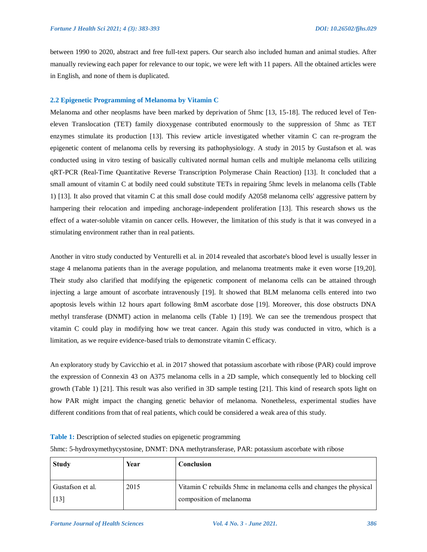between 1990 to 2020, abstract and free full-text papers. Our search also included human and animal studies. After manually reviewing each paper for relevance to our topic, we were left with 11 papers. All the obtained articles were in English, and none of them is duplicated.

### **2.2 Epigenetic Programming of Melanoma by Vitamin C**

Melanoma and other neoplasms have been marked by deprivation of 5hmc [13, 15-18]. The reduced level of Teneleven Translocation (TET) family dioxygenase contributed enormously to the suppression of 5hmc as TET enzymes stimulate its production [13]. This review article investigated whether vitamin C can re-program the epigenetic content of melanoma cells by reversing its pathophysiology. A study in 2015 by Gustafson et al. was conducted using in vitro testing of basically cultivated normal human cells and multiple melanoma cells utilizing qRT-PCR (Real-Time Quantitative Reverse Transcription Polymerase Chain Reaction) [13]. It concluded that a small amount of vitamin C at bodily need could substitute TETs in repairing 5hmc levels in melanoma cells (Table 1) [13]. It also proved that vitamin C at this small dose could modify A2058 melanoma cells' aggressive pattern by hampering their relocation and impeding anchorage-independent proliferation [13]. This research shows us the effect of a water-soluble vitamin on cancer cells. However, the limitation of this study is that it was conveyed in a stimulating environment rather than in real patients.

Another in vitro study conducted by Venturelli et al. in 2014 revealed that ascorbate's blood level is usually lesser in stage 4 melanoma patients than in the average population, and melanoma treatments make it even worse [19,20]. Their study also clarified that modifying the epigenetic component of melanoma cells can be attained through injecting a large amount of ascorbate intravenously [19]. It showed that BLM melanoma cells entered into two apoptosis levels within 12 hours apart following 8mM ascorbate dose [19]. Moreover, this dose obstructs DNA methyl transferase (DNMT) action in melanoma cells (Table 1) [19]. We can see the tremendous prospect that vitamin C could play in modifying how we treat cancer. Again this study was conducted in vitro, which is a limitation, as we require evidence-based trials to demonstrate vitamin C efficacy.

An exploratory study by Cavicchio et al. in 2017 showed that potassium ascorbate with ribose (PAR) could improve the expression of Connexin 43 on A375 melanoma cells in a 2D sample, which consequently led to blocking cell growth (Table 1) [21]. This result was also verified in 3D sample testing [21]. This kind of research spots light on how PAR might impact the changing genetic behavior of melanoma. Nonetheless, experimental studies have different conditions from that of real patients, which could be considered a weak area of this study.

**Table 1:** Description of selected studies on epigenetic programming

5hmc: 5-hydroxymethycystosine, DNMT: DNA methytransferase, PAR: potassium ascorbate with ribose

| <b>Study</b>       | Year | Conclusion                                                         |
|--------------------|------|--------------------------------------------------------------------|
| Gustafson et al.   | 2015 | Vitamin C rebuilds 5hmc in melanoma cells and changes the physical |
| $\lceil 13 \rceil$ |      | composition of melanoma                                            |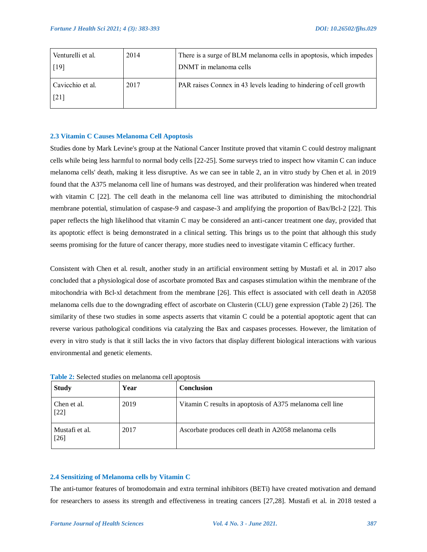| Venturelli et al.<br>$\lceil 19 \rceil$ | 2014 | There is a surge of BLM melanoma cells in apoptosis, which impedes<br>DNMT in melanoma cells |
|-----------------------------------------|------|----------------------------------------------------------------------------------------------|
| Cavicchio et al.<br>$\lceil 21 \rceil$  | 2017 | PAR raises Connex in 43 levels leading to hindering of cell growth                           |

# **2.3 Vitamin C Causes Melanoma Cell Apoptosis**

Studies done by Mark Levine's group at the National Cancer Institute proved that vitamin C could destroy malignant cells while being less harmful to normal body cells [22-25]. Some surveys tried to inspect how vitamin C can induce melanoma cells' death, making it less disruptive. As we can see in table 2, an in vitro study by Chen et al. in 2019 found that the A375 melanoma cell line of humans was destroyed, and their proliferation was hindered when treated with vitamin C [22]. The cell death in the melanoma cell line was attributed to diminishing the mitochondrial membrane potential, stimulation of caspase-9 and caspase-3 and amplifying the proportion of Bax/Bcl-2 [22]. This paper reflects the high likelihood that vitamin C may be considered an anti-cancer treatment one day, provided that its apoptotic effect is being demonstrated in a clinical setting. This brings us to the point that although this study seems promising for the future of cancer therapy, more studies need to investigate vitamin C efficacy further.

Consistent with Chen et al. result, another study in an artificial environment setting by Mustafi et al. in 2017 also concluded that a physiological dose of ascorbate promoted Bax and caspases stimulation within the membrane of the mitochondria with Bcl-xl detachment from the membrane [26]. This effect is associated with cell death in A2058 melanoma cells due to the downgrading effect of ascorbate on Clusterin (CLU) gene expression (Table 2) [26]. The similarity of these two studies in some aspects asserts that vitamin C could be a potential apoptotic agent that can reverse various pathological conditions via catalyzing the Bax and caspases processes. However, the limitation of every in vitro study is that it still lacks the in vivo factors that display different biological interactions with various environmental and genetic elements.

| <b>Study</b>             | Year | <b>Conclusion</b>                                         |
|--------------------------|------|-----------------------------------------------------------|
| Chen et al.<br>$[22]$    | 2019 | Vitamin C results in apoptosis of A375 melanoma cell line |
| Mustafi et al.<br>$[26]$ | 2017 | Ascorbate produces cell death in A2058 melanoma cells     |

**Table 2:** Selected studies on melanoma cell apoptosis

#### **2.4 Sensitizing of Melanoma cells by Vitamin C**

The anti-tumor features of bromodomain and extra terminal inhibitors (BETi) have created motivation and demand for researchers to assess its strength and effectiveness in treating cancers [27,28]. Mustafi et al. in 2018 tested a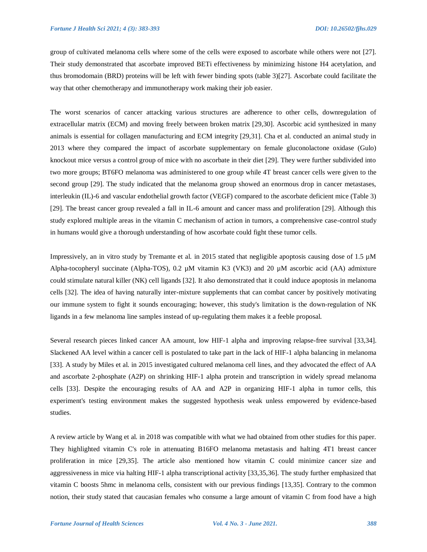group of cultivated melanoma cells where some of the cells were exposed to ascorbate while others were not [27]. Their study demonstrated that ascorbate improved BETi effectiveness by minimizing histone H4 acetylation, and thus bromodomain (BRD) proteins will be left with fewer binding spots (table 3)[27]. Ascorbate could facilitate the way that other chemotherapy and immunotherapy work making their job easier.

The worst scenarios of cancer attacking various structures are adherence to other cells, downregulation of extracellular matrix (ECM) and moving freely between broken matrix [29,30]. Ascorbic acid synthesized in many animals is essential for collagen manufacturing and ECM integrity [29,31]. Cha et al. conducted an animal study in 2013 where they compared the impact of ascorbate supplementary on female gluconolactone oxidase (Gulo) knockout mice versus a control group of mice with no ascorbate in their diet [29]. They were further subdivided into two more groups; BT6FO melanoma was administered to one group while 4T breast cancer cells were given to the second group [29]. The study indicated that the melanoma group showed an enormous drop in cancer metastases, interleukin (IL)-6 and vascular endothelial growth factor (VEGF) compared to the ascorbate deficient mice (Table 3) [29]. The breast cancer group revealed a fall in IL-6 amount and cancer mass and proliferation [29]. Although this study explored multiple areas in the vitamin C mechanism of action in tumors, a comprehensive case-control study in humans would give a thorough understanding of how ascorbate could fight these tumor cells.

Impressively, an in vitro study by Tremante et al. in 2015 stated that negligible apoptosis causing dose of 1.5 µM Alpha-tocopheryl succinate (Alpha-TOS), 0.2 µM vitamin K3 (VK3) and 20 µM ascorbic acid (AA) admixture could stimulate natural killer (NK) cell ligands [32]. It also demonstrated that it could induce apoptosis in melanoma cells [32]. The idea of having naturally inter-mixture supplements that can combat cancer by positively motivating our immune system to fight it sounds encouraging; however, this study's limitation is the down-regulation of NK ligands in a few melanoma line samples instead of up-regulating them makes it a feeble proposal.

Several research pieces linked cancer AA amount, low HIF-1 alpha and improving relapse-free survival [33,34]. Slackened AA level within a cancer cell is postulated to take part in the lack of HIF-1 alpha balancing in melanoma [33]. A study by Miles et al. in 2015 investigated cultured melanoma cell lines, and they advocated the effect of AA and ascorbate 2-phosphate (A2P) on shrinking HIF-1 alpha protein and transcription in widely spread melanoma cells [33]. Despite the encouraging results of AA and A2P in organizing HIF-1 alpha in tumor cells, this experiment's testing environment makes the suggested hypothesis weak unless empowered by evidence-based studies.

A review article by Wang et al. in 2018 was compatible with what we had obtained from other studies for this paper. They highlighted vitamin C's role in attenuating B16FO melanoma metastasis and halting 4T1 breast cancer proliferation in mice [29,35]. The article also mentioned how vitamin C could minimize cancer size and aggressiveness in mice via halting HIF-1 alpha transcriptional activity [33,35,36]. The study further emphasized that vitamin C boosts 5hmc in melanoma cells, consistent with our previous findings [13,35]. Contrary to the common notion, their study stated that caucasian females who consume a large amount of vitamin C from food have a high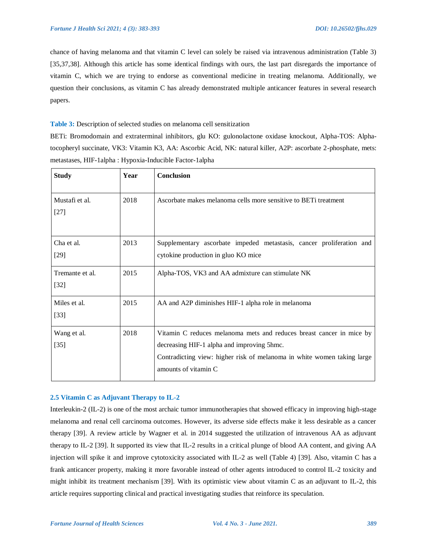chance of having melanoma and that vitamin C level can solely be raised via intravenous administration (Table 3) [35,37,38]. Although this article has some identical findings with ours, the last part disregards the importance of vitamin C, which we are trying to endorse as conventional medicine in treating melanoma. Additionally, we question their conclusions, as vitamin C has already demonstrated multiple anticancer features in several research papers.

**Table 3:** Description of selected studies on melanoma cell sensitization

BETi: Bromodomain and extraterminal inhibitors, glu KO: gulonolactone oxidase knockout, Alpha-TOS: Alphatocopheryl succinate, VK3: Vitamin K3, AA: Ascorbic Acid, NK: natural killer, A2P: ascorbate 2-phosphate, mets: metastases, HIF-1alpha : Hypoxia-Inducible Factor-1alpha

| <b>Study</b>              | Year | Conclusion                                                                                                                                                                                                            |
|---------------------------|------|-----------------------------------------------------------------------------------------------------------------------------------------------------------------------------------------------------------------------|
| Mustafi et al.<br>$[27]$  | 2018 | Ascorbate makes melanoma cells more sensitive to BET treatment                                                                                                                                                        |
| Cha et al.<br>$[29]$      | 2013 | Supplementary ascorbate impeded metastasis, cancer proliferation and<br>cytokine production in gluo KO mice                                                                                                           |
| Tremante et al.<br>$[32]$ | 2015 | Alpha-TOS, VK3 and AA admixture can stimulate NK                                                                                                                                                                      |
| Miles et al.<br>$[33]$    | 2015 | AA and A2P diminishes HIF-1 alpha role in melanoma                                                                                                                                                                    |
| Wang et al.<br>$[35]$     | 2018 | Vitamin C reduces melanoma mets and reduces breast cancer in mice by<br>decreasing HIF-1 alpha and improving 5hmc.<br>Contradicting view: higher risk of melanoma in white women taking large<br>amounts of vitamin C |

# **2.5 Vitamin C as Adjuvant Therapy to IL-2**

Interleukin-2 (IL-2) is one of the most archaic tumor immunotherapies that showed efficacy in improving high-stage melanoma and renal cell carcinoma outcomes. However, its adverse side effects make it less desirable as a cancer therapy [39]. A review article by Wagner et al. in 2014 suggested the utilization of intravenous AA as adjuvant therapy to IL-2 [39]. It supported its view that IL-2 results in a critical plunge of blood AA content, and giving AA injection will spike it and improve cytotoxicity associated with IL-2 as well (Table 4) [39]. Also, vitamin C has a frank anticancer property, making it more favorable instead of other agents introduced to control IL-2 toxicity and might inhibit its treatment mechanism [39]. With its optimistic view about vitamin C as an adjuvant to IL-2, this article requires supporting clinical and practical investigating studies that reinforce its speculation.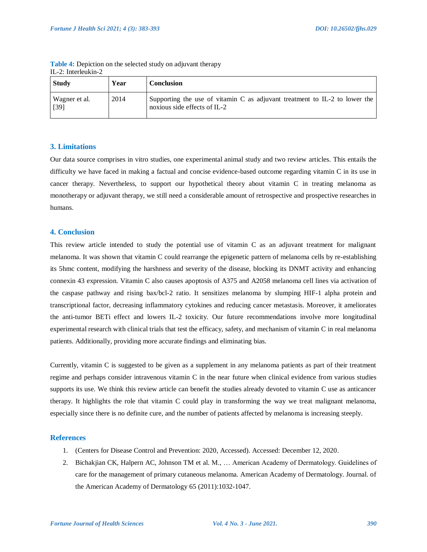| <b>Study</b>            | Year | Conclusion                                                                                                 |
|-------------------------|------|------------------------------------------------------------------------------------------------------------|
| Wagner et al.<br>$[39]$ | 2014 | Supporting the use of vitamin C as adjuvant treatment to IL-2 to lower the<br>noxious side effects of IL-2 |

**Table 4:** Depiction on the selected study on adjuvant therapy IL-2: Interleukin-2

# **3. Limitations**

Our data source comprises in vitro studies, one experimental animal study and two review articles. This entails the difficulty we have faced in making a factual and concise evidence-based outcome regarding vitamin C in its use in cancer therapy. Nevertheless, to support our hypothetical theory about vitamin C in treating melanoma as monotherapy or adjuvant therapy, we still need a considerable amount of retrospective and prospective researches in humans.

# **4. Conclusion**

This review article intended to study the potential use of vitamin C as an adjuvant treatment for malignant melanoma. It was shown that vitamin C could rearrange the epigenetic pattern of melanoma cells by re-establishing its 5hmc content, modifying the harshness and severity of the disease, blocking its DNMT activity and enhancing connexin 43 expression. Vitamin C also causes apoptosis of A375 and A2058 melanoma cell lines via activation of the caspase pathway and rising bax/bcl-2 ratio. It sensitizes melanoma by slumping HIF-1 alpha protein and transcriptional factor, decreasing inflammatory cytokines and reducing cancer metastasis. Moreover, it ameliorates the anti-tumor BETi effect and lowers IL-2 toxicity. Our future recommendations involve more longitudinal experimental research with clinical trials that test the efficacy, safety, and mechanism of vitamin C in real melanoma patients. Additionally, providing more accurate findings and eliminating bias.

Currently, vitamin C is suggested to be given as a supplement in any melanoma patients as part of their treatment regime and perhaps consider intravenous vitamin C in the near future when clinical evidence from various studies supports its use. We think this review article can benefit the studies already devoted to vitamin C use as anticancer therapy. It highlights the role that vitamin C could play in transforming the way we treat malignant melanoma, especially since there is no definite cure, and the number of patients affected by melanoma is increasing steeply.

# **References**

- 1. (Centers for Disease Control and Prevention: 2020, Accessed). Accessed: December 12, 2020.
- 2. Bichakjian CK, Halpern AC, Johnson TM et al. M., … American Academy of Dermatology. Guidelines of care for the management of primary cutaneous melanoma. American Academy of Dermatology. Journal. of the American Academy of Dermatology 65 (2011):1032-1047.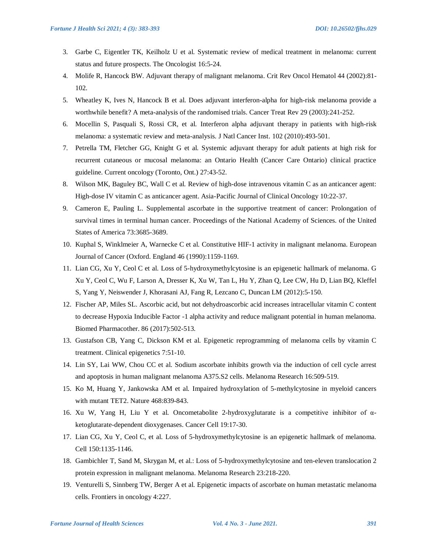- 3. Garbe C, Eigentler TK, Keilholz U et al. Systematic review of medical treatment in melanoma: current status and future prospects. The Oncologist 16:5-24.
- 4. Molife R, Hancock BW. Adjuvant therapy of malignant melanoma. Crit Rev Oncol Hematol 44 (2002):81- 102.
- 5. Wheatley K, Ives N, Hancock B et al. Does adjuvant interferon-alpha for high-risk melanoma provide a worthwhile benefit? A meta-analysis of the randomised trials. Cancer Treat Rev 29 (2003):241-252.
- 6. Mocellin S, Pasquali S, Rossi CR, et al. Interferon alpha adjuvant therapy in patients with high-risk melanoma: a systematic review and meta-analysis. J Natl Cancer Inst. 102 (2010):493-501.
- 7. Petrella TM, Fletcher GG, Knight G et al. Systemic adjuvant therapy for adult patients at high risk for recurrent cutaneous or mucosal melanoma: an Ontario Health (Cancer Care Ontario) clinical practice guideline. Current oncology (Toronto, Ont.) 27:43-52.
- 8. Wilson MK, Baguley BC, Wall C et al. Review of high-dose intravenous vitamin C as an anticancer agent: High-dose IV vitamin C as anticancer agent. Asia-Pacific Journal of Clinical Oncology 10:22-37.
- 9. Cameron E, Pauling L. Supplemental ascorbate in the supportive treatment of cancer: Prolongation of survival times in terminal human cancer. Proceedings of the National Academy of Sciences. of the United States of America 73:3685-3689.
- 10. Kuphal S, Winklmeier A, Warnecke C et al. Constitutive HIF-1 activity in malignant melanoma. European Journal of Cancer (Oxford. England 46 (1990):1159-1169.
- 11. Lian CG, Xu Y, Ceol C et al. Loss of 5-hydroxymethylcytosine is an epigenetic hallmark of melanoma. G Xu Y, Ceol C, Wu F, Larson A, Dresser K, Xu W, Tan L, Hu Y, Zhan Q, Lee CW, Hu D, Lian BQ, Kleffel S, Yang Y, Neiswender J, Khorasani AJ, Fang R, Lezcano C, Duncan LM (2012):5-150.
- 12. Fischer AP, Miles SL. Ascorbic acid, but not dehydroascorbic acid increases intracellular vitamin C content to decrease Hypoxia Inducible Factor -1 alpha activity and reduce malignant potential in human melanoma. Biomed Pharmacother. 86 (2017):502-513.
- 13. Gustafson CB, Yang C, Dickson KM et al. Epigenetic reprogramming of melanoma cells by vitamin C treatment. Clinical epigenetics 7:51-10.
- 14. Lin SY, Lai WW, Chou CC et al. Sodium ascorbate inhibits growth via the induction of cell cycle arrest and apoptosis in human malignant melanoma A375.S2 cells. Melanoma Research 16:509-519.
- 15. Ko M, Huang Y, Jankowska AM et al. Impaired hydroxylation of 5-methylcytosine in myeloid cancers with mutant TET2. Nature 468:839-843.
- 16. Xu W, Yang H, Liu Y et al. Oncometabolite 2-hydroxyglutarate is a competitive inhibitor of αketoglutarate-dependent dioxygenases. Cancer Cell 19:17-30.
- 17. Lian CG, Xu Y, Ceol C, et al. Loss of 5-hydroxymethylcytosine is an epigenetic hallmark of melanoma. Cell 150:1135-1146.
- 18. Gambichler T, Sand M, Skrygan M, et al.: Loss of 5-hydroxymethylcytosine and ten-eleven translocation 2 protein expression in malignant melanoma. Melanoma Research 23:218-220.
- 19. Venturelli S, Sinnberg TW, Berger A et al. Epigenetic impacts of ascorbate on human metastatic melanoma cells. Frontiers in oncology 4:227.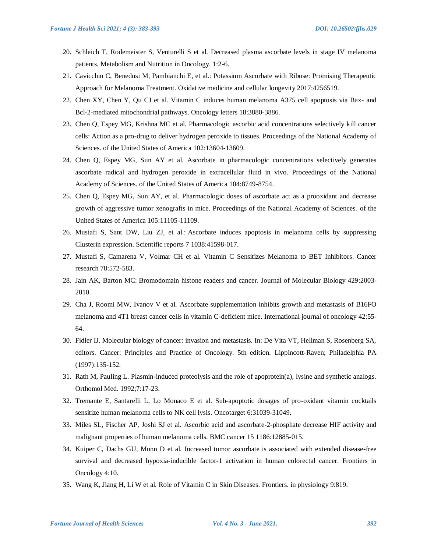- 20. Schleich T, Rodemeister S, Venturelli S et al. Decreased plasma ascorbate levels in stage IV melanoma patients. Metabolism and Nutrition in Oncology. 1:2-6.
- 21. Cavicchio C, Benedusi M, Pambianchi E, et al.: Potassium Ascorbate with Ribose: Promising Therapeutic Approach for Melanoma Treatment. Oxidative medicine and cellular longevity 2017:4256519.
- 22. Chen XY, Chen Y, Qu CJ et al. Vitamin C induces human melanoma A375 cell apoptosis via Bax- and Bcl-2-mediated mitochondrial pathways. Oncology letters 18:3880-3886.
- 23. Chen Q, Espey MG, Krishna MC et al. Pharmacologic ascorbic acid concentrations selectively kill cancer cells: Action as a pro-drug to deliver hydrogen peroxide to tissues. Proceedings of the National Academy of Sciences. of the United States of America 102:13604-13609.
- 24. Chen Q, Espey MG, Sun AY et al. Ascorbate in pharmacologic concentrations selectively generates ascorbate radical and hydrogen peroxide in extracellular fluid in vivo. Proceedings of the National Academy of Sciences. of the United States of America 104:8749-8754.
- 25. Chen Q, Espey MG, Sun AY, et al. Pharmacologic doses of ascorbate act as a prooxidant and decrease growth of aggressive tumor xenografts in mice. Proceedings of the National Academy of Sciences. of the United States of America 105:11105-11109.
- 26. Mustafi S, Sant DW, Liu ZJ, et al.: Ascorbate induces apoptosis in melanoma cells by suppressing Clusterin expression. Scientific reports 7 1038:41598-017.
- 27. Mustafi S, Camarena V, Volmar CH et al. Vitamin C Sensitizes Melanoma to BET Inhibitors. Cancer research 78:572-583.
- 28. Jain AK, Barton MC: Bromodomain histone readers and cancer. Journal of Molecular Biology 429:2003- 2010.
- 29. Cha J, Roomi MW, Ivanov V et al. Ascorbate supplementation inhibits growth and metastasis of B16FO melanoma and 4T1 breast cancer cells in vitamin C-deficient mice. International journal of oncology 42:55- 64.
- 30. Fidler IJ. Molecular biology of cancer: invasion and metastasis. In: De Vita VT, Hellman S, Rosenberg SA, editors. Cancer: Principles and Practice of Oncology. 5th edition. Lippincott-Raven; Philadelphia PA (1997):135-152.
- 31. Rath M, Pauling L. Plasmin-induced proteolysis and the role of apoprotein(a), lysine and synthetic analogs. Orthomol Med. 1992;7:17-23.
- 32. Tremante E, Santarelli L, Lo Monaco E et al. Sub-apoptotic dosages of pro-oxidant vitamin cocktails sensitize human melanoma cells to NK cell lysis. Oncotarget 6:31039-31049.
- 33. Miles SL, Fischer AP, Joshi SJ et al. Ascorbic acid and ascorbate-2-phosphate decrease HIF activity and malignant properties of human melanoma cells. BMC cancer 15 1186:12885-015.
- 34. Kuiper C, Dachs GU, Munn D et al. Increased tumor ascorbate is associated with extended disease-free survival and decreased hypoxia-inducible factor-1 activation in human colorectal cancer. Frontiers in Oncology 4:10.
- 35. Wang K, Jiang H, Li W et al. Role of Vitamin C in Skin Diseases. Frontiers. in physiology 9:819.